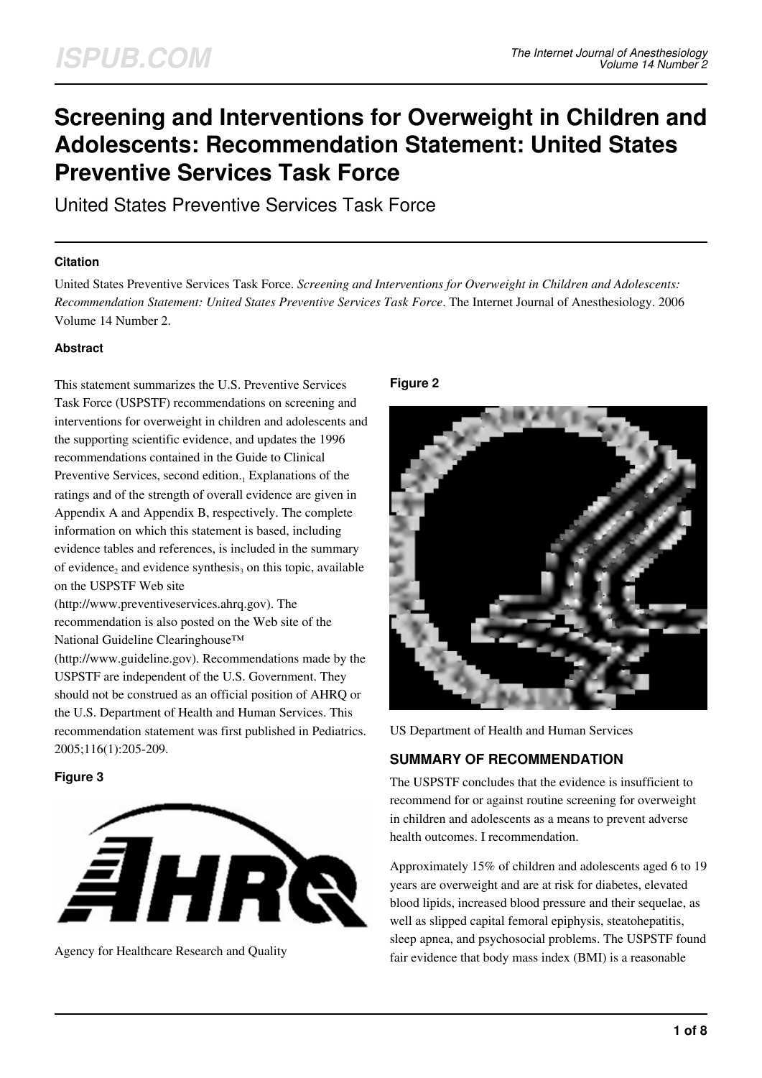# **Screening and Interventions for Overweight in Children and Adolescents: Recommendation Statement: United States Preventive Services Task Force**

United States Preventive Services Task Force

#### **Citation**

United States Preventive Services Task Force. *Screening and Interventions for Overweight in Children and Adolescents: Recommendation Statement: United States Preventive Services Task Force*. The Internet Journal of Anesthesiology. 2006 Volume 14 Number 2.

#### **Abstract**

This statement summarizes the U.S. Preventive Services Task Force (USPSTF) recommendations on screening and interventions for overweight in children and adolescents and the supporting scientific evidence, and updates the 1996 recommendations contained in the Guide to Clinical Preventive Services, second edition.<sub>1</sub> Explanations of the ratings and of the strength of overall evidence are given in Appendix A and Appendix B, respectively. The complete information on which this statement is based, including evidence tables and references, is included in the summary of evidence<sub>2</sub> and evidence synthesis<sub>3</sub> on this topic, available on the USPSTF Web site

(http://www.preventiveservices.ahrq.gov). The recommendation is also posted on the Web site of the National Guideline Clearinghouse™

(http://www.guideline.gov). Recommendations made by the USPSTF are independent of the U.S. Government. They should not be construed as an official position of AHRQ or the U.S. Department of Health and Human Services. This recommendation statement was first published in Pediatrics. 2005;116(1):205-209.

#### **Figure 3**



Agency for Healthcare Research and Quality

#### **Figure 2**



US Department of Health and Human Services

# **SUMMARY OF RECOMMENDATION**

The USPSTF concludes that the evidence is insufficient to recommend for or against routine screening for overweight in children and adolescents as a means to prevent adverse health outcomes. I recommendation.

Approximately 15% of children and adolescents aged 6 to 19 years are overweight and are at risk for diabetes, elevated blood lipids, increased blood pressure and their sequelae, as well as slipped capital femoral epiphysis, steatohepatitis, sleep apnea, and psychosocial problems. The USPSTF found fair evidence that body mass index (BMI) is a reasonable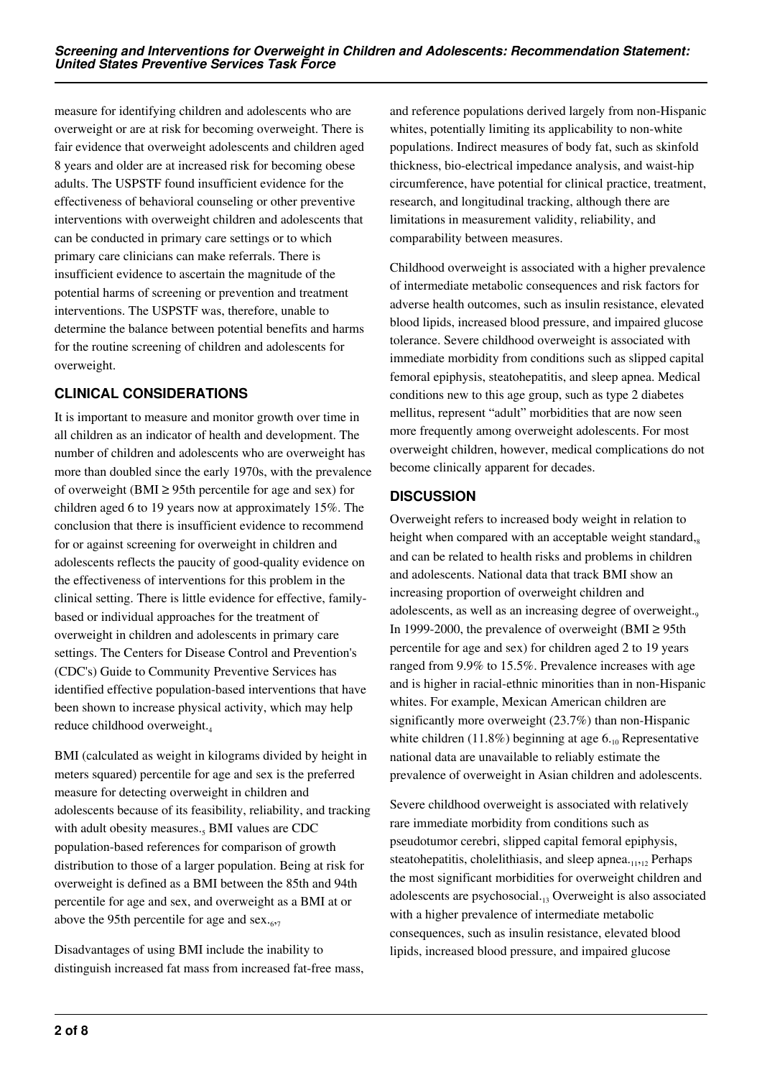measure for identifying children and adolescents who are overweight or are at risk for becoming overweight. There is fair evidence that overweight adolescents and children aged 8 years and older are at increased risk for becoming obese adults. The USPSTF found insufficient evidence for the effectiveness of behavioral counseling or other preventive interventions with overweight children and adolescents that can be conducted in primary care settings or to which primary care clinicians can make referrals. There is insufficient evidence to ascertain the magnitude of the potential harms of screening or prevention and treatment interventions. The USPSTF was, therefore, unable to determine the balance between potential benefits and harms for the routine screening of children and adolescents for overweight.

# **CLINICAL CONSIDERATIONS**

It is important to measure and monitor growth over time in all children as an indicator of health and development. The number of children and adolescents who are overweight has more than doubled since the early 1970s, with the prevalence of overweight (BMI  $\geq$  95th percentile for age and sex) for children aged 6 to 19 years now at approximately 15%. The conclusion that there is insufficient evidence to recommend for or against screening for overweight in children and adolescents reflects the paucity of good-quality evidence on the effectiveness of interventions for this problem in the clinical setting. There is little evidence for effective, familybased or individual approaches for the treatment of overweight in children and adolescents in primary care settings. The Centers for Disease Control and Prevention's (CDC's) Guide to Community Preventive Services has identified effective population-based interventions that have been shown to increase physical activity, which may help reduce childhood overweight.

BMI (calculated as weight in kilograms divided by height in meters squared) percentile for age and sex is the preferred measure for detecting overweight in children and adolescents because of its feasibility, reliability, and tracking with adult obesity measures.<sub>5</sub> BMI values are CDC population-based references for comparison of growth distribution to those of a larger population. Being at risk for overweight is defined as a BMI between the 85th and 94th percentile for age and sex, and overweight as a BMI at or above the 95th percentile for age and  $sex_{.6,7}$ 

Disadvantages of using BMI include the inability to distinguish increased fat mass from increased fat-free mass,

and reference populations derived largely from non-Hispanic whites, potentially limiting its applicability to non-white populations. Indirect measures of body fat, such as skinfold thickness, bio-electrical impedance analysis, and waist-hip circumference, have potential for clinical practice, treatment, research, and longitudinal tracking, although there are limitations in measurement validity, reliability, and comparability between measures.

Childhood overweight is associated with a higher prevalence of intermediate metabolic consequences and risk factors for adverse health outcomes, such as insulin resistance, elevated blood lipids, increased blood pressure, and impaired glucose tolerance. Severe childhood overweight is associated with immediate morbidity from conditions such as slipped capital femoral epiphysis, steatohepatitis, and sleep apnea. Medical conditions new to this age group, such as type 2 diabetes mellitus, represent "adult" morbidities that are now seen more frequently among overweight adolescents. For most overweight children, however, medical complications do not become clinically apparent for decades.

# **DISCUSSION**

Overweight refers to increased body weight in relation to height when compared with an acceptable weight standard, $\alpha$ and can be related to health risks and problems in children and adolescents. National data that track BMI show an increasing proportion of overweight children and adolescents, as well as an increasing degree of overweight. In 1999-2000, the prevalence of overweight (BMI  $\geq$  95th percentile for age and sex) for children aged 2 to 19 years ranged from 9.9% to 15.5%. Prevalence increases with age and is higher in racial-ethnic minorities than in non-Hispanic whites. For example, Mexican American children are significantly more overweight (23.7%) than non-Hispanic white children (11.8%) beginning at age  $6.10$  Representative national data are unavailable to reliably estimate the prevalence of overweight in Asian children and adolescents.

Severe childhood overweight is associated with relatively rare immediate morbidity from conditions such as pseudotumor cerebri, slipped capital femoral epiphysis, steatohepatitis, cholelithiasis, and sleep apnea.<sub>11,12</sub> Perhaps the most significant morbidities for overweight children and adolescents are psychosocial. $_{13}$  Overweight is also associated with a higher prevalence of intermediate metabolic consequences, such as insulin resistance, elevated blood lipids, increased blood pressure, and impaired glucose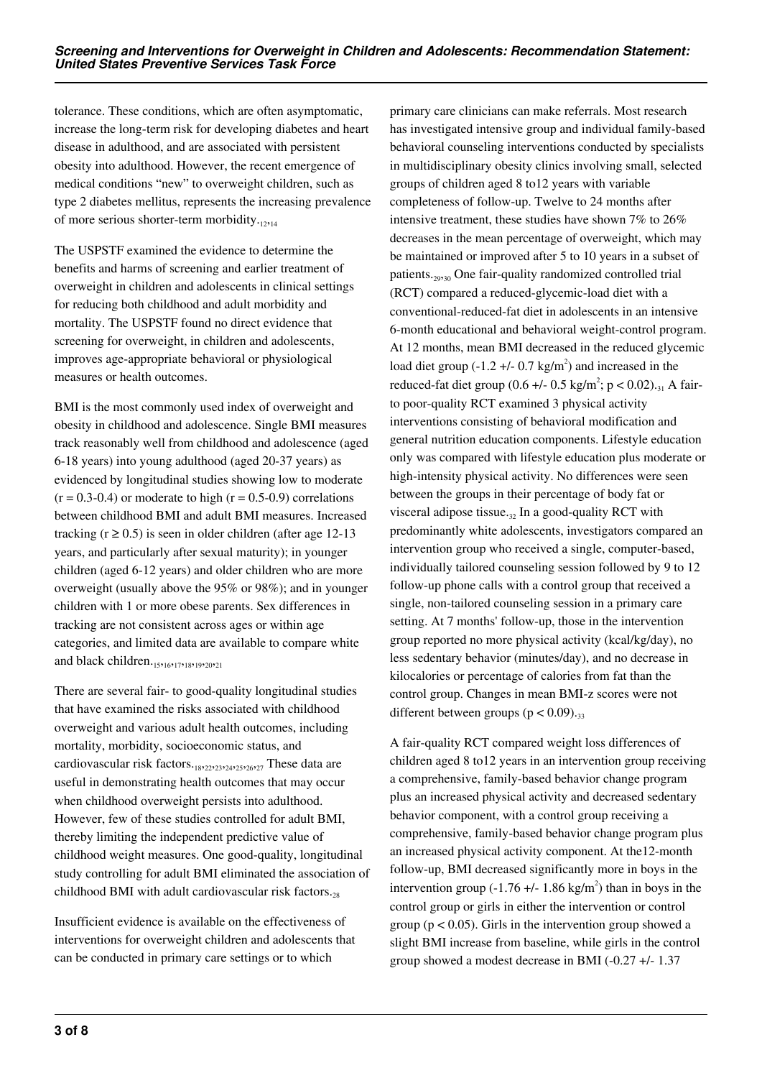tolerance. These conditions, which are often asymptomatic, increase the long-term risk for developing diabetes and heart disease in adulthood, and are associated with persistent obesity into adulthood. However, the recent emergence of medical conditions "new" to overweight children, such as type 2 diabetes mellitus, represents the increasing prevalence of more serious shorter-term morbidity. $_{12,14}$ 

The USPSTF examined the evidence to determine the benefits and harms of screening and earlier treatment of overweight in children and adolescents in clinical settings for reducing both childhood and adult morbidity and mortality. The USPSTF found no direct evidence that screening for overweight, in children and adolescents, improves age-appropriate behavioral or physiological measures or health outcomes.

BMI is the most commonly used index of overweight and obesity in childhood and adolescence. Single BMI measures track reasonably well from childhood and adolescence (aged 6-18 years) into young adulthood (aged 20-37 years) as evidenced by longitudinal studies showing low to moderate  $(r = 0.3-0.4)$  or moderate to high  $(r = 0.5-0.9)$  correlations between childhood BMI and adult BMI measures. Increased tracking ( $r \ge 0.5$ ) is seen in older children (after age 12-13 years, and particularly after sexual maturity); in younger children (aged 6-12 years) and older children who are more overweight (usually above the 95% or 98%); and in younger children with 1 or more obese parents. Sex differences in tracking are not consistent across ages or within age categories, and limited data are available to compare white and black children.<sub>15</sub>,16,17,18,19,20,21

There are several fair- to good-quality longitudinal studies that have examined the risks associated with childhood overweight and various adult health outcomes, including mortality, morbidity, socioeconomic status, and cardiovascular risk factors.18,22,23,24,25,26,27 These data are useful in demonstrating health outcomes that may occur when childhood overweight persists into adulthood. However, few of these studies controlled for adult BMI, thereby limiting the independent predictive value of childhood weight measures. One good-quality, longitudinal study controlling for adult BMI eliminated the association of childhood BMI with adult cardiovascular risk factors. $_{28}$ 

Insufficient evidence is available on the effectiveness of interventions for overweight children and adolescents that can be conducted in primary care settings or to which

primary care clinicians can make referrals. Most research has investigated intensive group and individual family-based behavioral counseling interventions conducted by specialists in multidisciplinary obesity clinics involving small, selected groups of children aged 8 to12 years with variable completeness of follow-up. Twelve to 24 months after intensive treatment, these studies have shown 7% to 26% decreases in the mean percentage of overweight, which may be maintained or improved after 5 to 10 years in a subset of patients.29,30 One fair-quality randomized controlled trial (RCT) compared a reduced-glycemic-load diet with a conventional-reduced-fat diet in adolescents in an intensive 6-month educational and behavioral weight-control program. At 12 months, mean BMI decreased in the reduced glycemic load diet group (-1.2 +/- 0.7 kg/m<sup>2</sup>) and increased in the reduced-fat diet group (0.6 +/- 0.5 kg/m<sup>2</sup>; p < 0.02).<sub>31</sub> A fairto poor-quality RCT examined 3 physical activity interventions consisting of behavioral modification and general nutrition education components. Lifestyle education only was compared with lifestyle education plus moderate or high-intensity physical activity. No differences were seen between the groups in their percentage of body fat or visceral adipose tissue. $v_2$  In a good-quality RCT with predominantly white adolescents, investigators compared an intervention group who received a single, computer-based, individually tailored counseling session followed by 9 to 12 follow-up phone calls with a control group that received a single, non-tailored counseling session in a primary care setting. At 7 months' follow-up, those in the intervention group reported no more physical activity (kcal/kg/day), no less sedentary behavior (minutes/day), and no decrease in kilocalories or percentage of calories from fat than the control group. Changes in mean BMI-z scores were not different between groups ( $p < 0.09$ ).

A fair-quality RCT compared weight loss differences of children aged 8 to12 years in an intervention group receiving a comprehensive, family-based behavior change program plus an increased physical activity and decreased sedentary behavior component, with a control group receiving a comprehensive, family-based behavior change program plus an increased physical activity component. At the12-month follow-up, BMI decreased significantly more in boys in the intervention group  $(-1.76 + (-1.86 \text{ kg/m}^2))$  than in boys in the control group or girls in either the intervention or control group ( $p < 0.05$ ). Girls in the intervention group showed a slight BMI increase from baseline, while girls in the control group showed a modest decrease in BMI (-0.27 +/- 1.37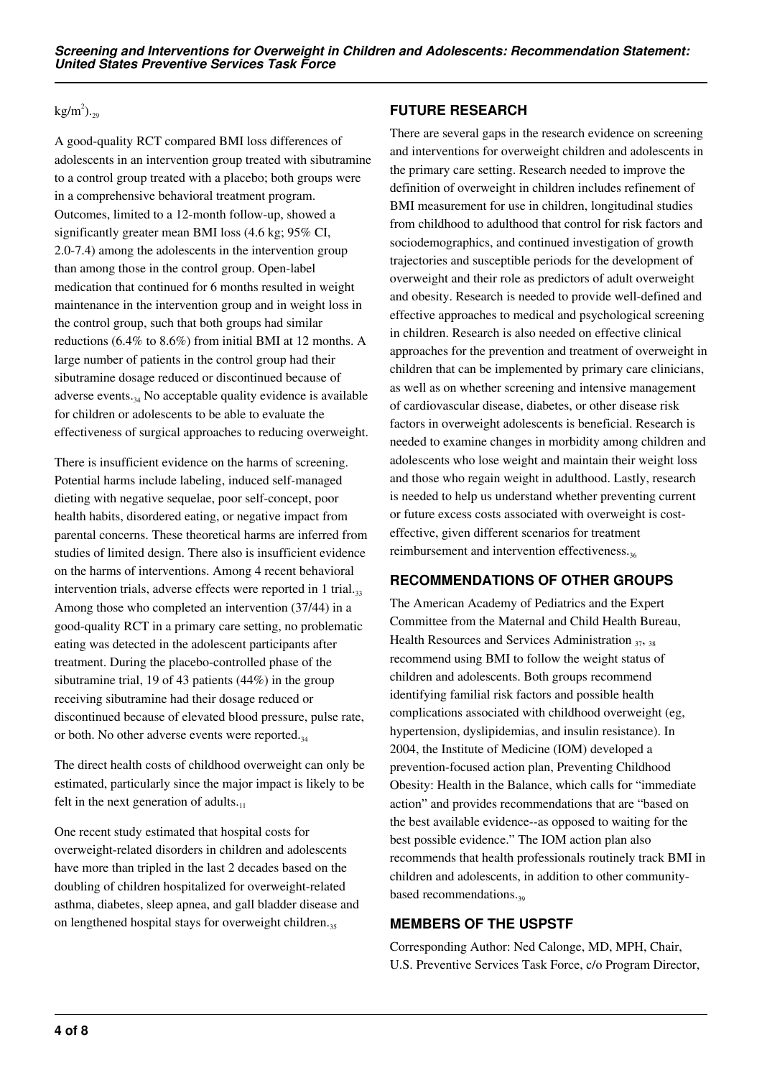# $kg/m^2$ ).<sub>29</sub>

A good-quality RCT compared BMI loss differences of adolescents in an intervention group treated with sibutramine to a control group treated with a placebo; both groups were in a comprehensive behavioral treatment program. Outcomes, limited to a 12-month follow-up, showed a significantly greater mean BMI loss (4.6 kg; 95% CI, 2.0-7.4) among the adolescents in the intervention group than among those in the control group. Open-label medication that continued for 6 months resulted in weight maintenance in the intervention group and in weight loss in the control group, such that both groups had similar reductions (6.4% to 8.6%) from initial BMI at 12 months. A large number of patients in the control group had their sibutramine dosage reduced or discontinued because of adverse events. $_{34}$  No acceptable quality evidence is available for children or adolescents to be able to evaluate the effectiveness of surgical approaches to reducing overweight.

There is insufficient evidence on the harms of screening. Potential harms include labeling, induced self-managed dieting with negative sequelae, poor self-concept, poor health habits, disordered eating, or negative impact from parental concerns. These theoretical harms are inferred from studies of limited design. There also is insufficient evidence on the harms of interventions. Among 4 recent behavioral intervention trials, adverse effects were reported in 1 trial. $_{33}$ Among those who completed an intervention (37/44) in a good-quality RCT in a primary care setting, no problematic eating was detected in the adolescent participants after treatment. During the placebo-controlled phase of the sibutramine trial, 19 of 43 patients (44%) in the group receiving sibutramine had their dosage reduced or discontinued because of elevated blood pressure, pulse rate, or both. No other adverse events were reported. $_{34}$ 

The direct health costs of childhood overweight can only be estimated, particularly since the major impact is likely to be felt in the next generation of adults. $_{11}$ 

One recent study estimated that hospital costs for overweight-related disorders in children and adolescents have more than tripled in the last 2 decades based on the doubling of children hospitalized for overweight-related asthma, diabetes, sleep apnea, and gall bladder disease and on lengthened hospital stays for overweight children.<sub>35</sub>

# **FUTURE RESEARCH**

There are several gaps in the research evidence on screening and interventions for overweight children and adolescents in the primary care setting. Research needed to improve the definition of overweight in children includes refinement of BMI measurement for use in children, longitudinal studies from childhood to adulthood that control for risk factors and sociodemographics, and continued investigation of growth trajectories and susceptible periods for the development of overweight and their role as predictors of adult overweight and obesity. Research is needed to provide well-defined and effective approaches to medical and psychological screening in children. Research is also needed on effective clinical approaches for the prevention and treatment of overweight in children that can be implemented by primary care clinicians, as well as on whether screening and intensive management of cardiovascular disease, diabetes, or other disease risk factors in overweight adolescents is beneficial. Research is needed to examine changes in morbidity among children and adolescents who lose weight and maintain their weight loss and those who regain weight in adulthood. Lastly, research is needed to help us understand whether preventing current or future excess costs associated with overweight is costeffective, given different scenarios for treatment reimbursement and intervention effectiveness.<sub>36</sub>

# **RECOMMENDATIONS OF OTHER GROUPS**

The American Academy of Pediatrics and the Expert Committee from the Maternal and Child Health Bureau, Health Resources and Services Administration  $_{37, 38}$ recommend using BMI to follow the weight status of children and adolescents. Both groups recommend identifying familial risk factors and possible health complications associated with childhood overweight (eg, hypertension, dyslipidemias, and insulin resistance). In 2004, the Institute of Medicine (IOM) developed a prevention-focused action plan, Preventing Childhood Obesity: Health in the Balance, which calls for "immediate action" and provides recommendations that are "based on the best available evidence--as opposed to waiting for the best possible evidence." The IOM action plan also recommends that health professionals routinely track BMI in children and adolescents, in addition to other communitybased recommendations.<sub>30</sub>

## **MEMBERS OF THE USPSTF**

Corresponding Author: Ned Calonge, MD, MPH, Chair, U.S. Preventive Services Task Force, c/o Program Director,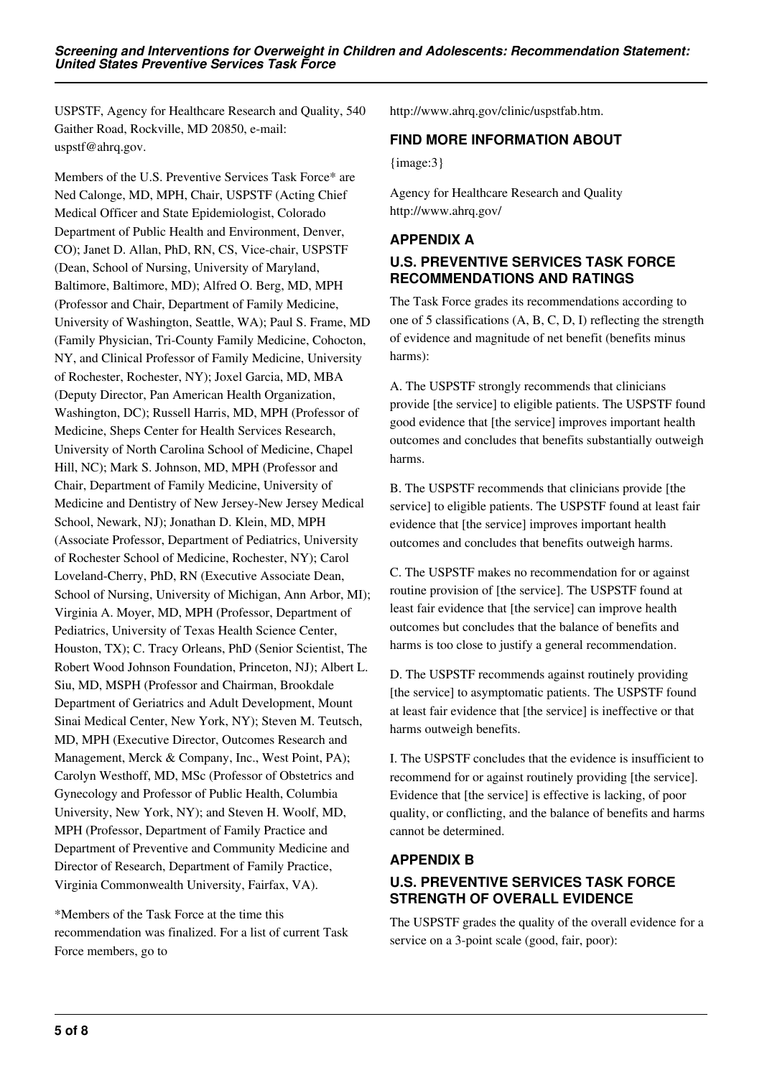USPSTF, Agency for Healthcare Research and Quality, 540 Gaither Road, Rockville, MD 20850, e-mail: uspstf@ahrq.gov.

Members of the U.S. Preventive Services Task Force\* are Ned Calonge, MD, MPH, Chair, USPSTF (Acting Chief Medical Officer and State Epidemiologist, Colorado Department of Public Health and Environment, Denver, CO); Janet D. Allan, PhD, RN, CS, Vice-chair, USPSTF (Dean, School of Nursing, University of Maryland, Baltimore, Baltimore, MD); Alfred O. Berg, MD, MPH (Professor and Chair, Department of Family Medicine, University of Washington, Seattle, WA); Paul S. Frame, MD (Family Physician, Tri-County Family Medicine, Cohocton, NY, and Clinical Professor of Family Medicine, University of Rochester, Rochester, NY); Joxel Garcia, MD, MBA (Deputy Director, Pan American Health Organization, Washington, DC); Russell Harris, MD, MPH (Professor of Medicine, Sheps Center for Health Services Research, University of North Carolina School of Medicine, Chapel Hill, NC); Mark S. Johnson, MD, MPH (Professor and Chair, Department of Family Medicine, University of Medicine and Dentistry of New Jersey-New Jersey Medical School, Newark, NJ); Jonathan D. Klein, MD, MPH (Associate Professor, Department of Pediatrics, University of Rochester School of Medicine, Rochester, NY); Carol Loveland-Cherry, PhD, RN (Executive Associate Dean, School of Nursing, University of Michigan, Ann Arbor, MI); Virginia A. Moyer, MD, MPH (Professor, Department of Pediatrics, University of Texas Health Science Center, Houston, TX); C. Tracy Orleans, PhD (Senior Scientist, The Robert Wood Johnson Foundation, Princeton, NJ); Albert L. Siu, MD, MSPH (Professor and Chairman, Brookdale Department of Geriatrics and Adult Development, Mount Sinai Medical Center, New York, NY); Steven M. Teutsch, MD, MPH (Executive Director, Outcomes Research and Management, Merck & Company, Inc., West Point, PA); Carolyn Westhoff, MD, MSc (Professor of Obstetrics and Gynecology and Professor of Public Health, Columbia University, New York, NY); and Steven H. Woolf, MD, MPH (Professor, Department of Family Practice and Department of Preventive and Community Medicine and Director of Research, Department of Family Practice, Virginia Commonwealth University, Fairfax, VA).

\*Members of the Task Force at the time this recommendation was finalized. For a list of current Task Force members, go to

http://www.ahrq.gov/clinic/uspstfab.htm.

## **FIND MORE INFORMATION ABOUT**

{image:3}

Agency for Healthcare Research and Quality http://www.ahrq.gov/

# **APPENDIX A**

# **U.S. PREVENTIVE SERVICES TASK FORCE RECOMMENDATIONS AND RATINGS**

The Task Force grades its recommendations according to one of 5 classifications (A, B, C, D, I) reflecting the strength of evidence and magnitude of net benefit (benefits minus harms):

A. The USPSTF strongly recommends that clinicians provide [the service] to eligible patients. The USPSTF found good evidence that [the service] improves important health outcomes and concludes that benefits substantially outweigh harms.

B. The USPSTF recommends that clinicians provide [the service] to eligible patients. The USPSTF found at least fair evidence that [the service] improves important health outcomes and concludes that benefits outweigh harms.

C. The USPSTF makes no recommendation for or against routine provision of [the service]. The USPSTF found at least fair evidence that [the service] can improve health outcomes but concludes that the balance of benefits and harms is too close to justify a general recommendation.

D. The USPSTF recommends against routinely providing [the service] to asymptomatic patients. The USPSTF found at least fair evidence that [the service] is ineffective or that harms outweigh benefits.

I. The USPSTF concludes that the evidence is insufficient to recommend for or against routinely providing [the service]. Evidence that [the service] is effective is lacking, of poor quality, or conflicting, and the balance of benefits and harms cannot be determined.

# **APPENDIX B**

# **U.S. PREVENTIVE SERVICES TASK FORCE STRENGTH OF OVERALL EVIDENCE**

The USPSTF grades the quality of the overall evidence for a service on a 3-point scale (good, fair, poor):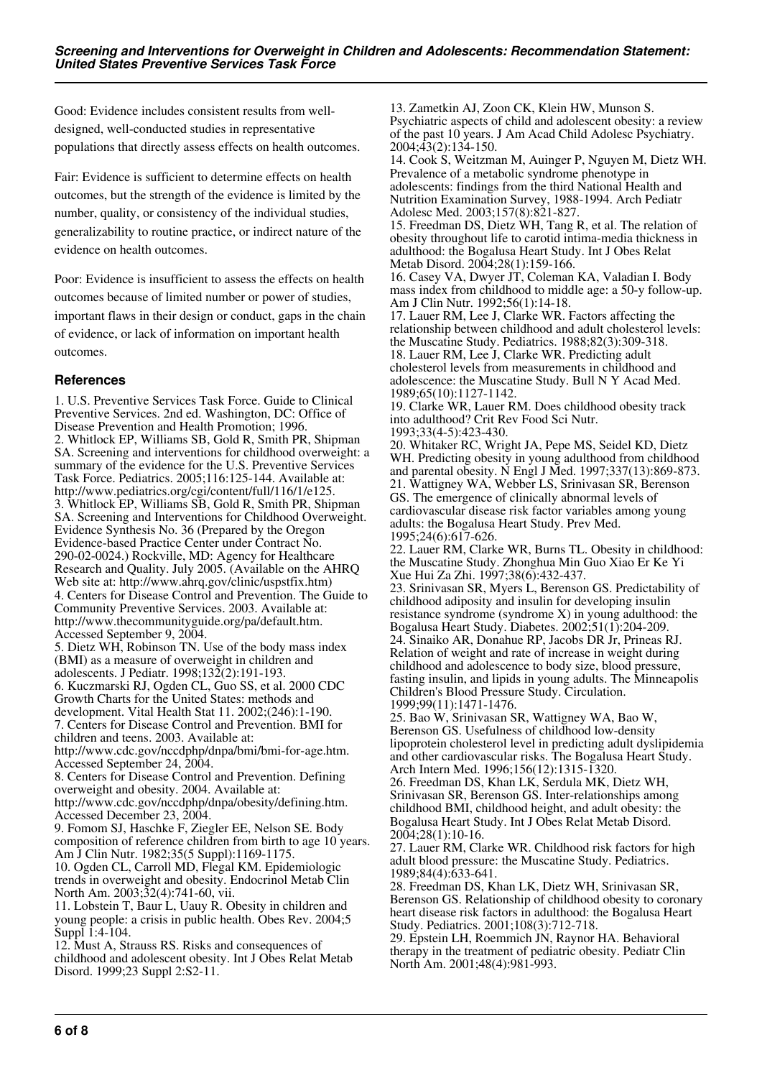Good: Evidence includes consistent results from welldesigned, well-conducted studies in representative populations that directly assess effects on health outcomes.

Fair: Evidence is sufficient to determine effects on health outcomes, but the strength of the evidence is limited by the number, quality, or consistency of the individual studies, generalizability to routine practice, or indirect nature of the evidence on health outcomes.

Poor: Evidence is insufficient to assess the effects on health outcomes because of limited number or power of studies, important flaws in their design or conduct, gaps in the chain of evidence, or lack of information on important health outcomes.

#### **References**

1. U.S. Preventive Services Task Force. Guide to Clinical Preventive Services. 2nd ed. Washington, DC: Office of Disease Prevention and Health Promotion; 1996. 2. Whitlock EP, Williams SB, Gold R, Smith PR, Shipman SA. Screening and interventions for childhood overweight: a summary of the evidence for the U.S. Preventive Services Task Force. Pediatrics. 2005;116:125-144. Available at: http://www.pediatrics.org/cgi/content/full/116/1/e125. 3. Whitlock EP, Williams SB, Gold R, Smith PR, Shipman SA. Screening and Interventions for Childhood Overweight. Evidence Synthesis No. 36 (Prepared by the Oregon Evidence-based Practice Center under Contract No. 290-02-0024.) Rockville, MD: Agency for Healthcare Research and Quality. July 2005. (Available on the AHRQ Web site at: http://www.ahrq.gov/clinic/uspstfix.htm) 4. Centers for Disease Control and Prevention. The Guide to Community Preventive Services. 2003. Available at: http://www.thecommunityguide.org/pa/default.htm. Accessed September 9, 2004. 5. Dietz WH, Robinson TN. Use of the body mass index (BMI) as a measure of overweight in children and adolescents. J Pediatr. 1998;132(2):191-193. 6. Kuczmarski RJ, Ogden CL, Guo SS, et al. 2000 CDC Growth Charts for the United States: methods and development. Vital Health Stat 11. 2002;(246):1-190. 7. Centers for Disease Control and Prevention. BMI for children and teens. 2003. Available at: http://www.cdc.gov/nccdphp/dnpa/bmi/bmi-for-age.htm. Accessed September 24, 2004. 8. Centers for Disease Control and Prevention. Defining overweight and obesity. 2004. Available at: http://www.cdc.gov/nccdphp/dnpa/obesity/defining.htm. Accessed December 23, 2004. 9. Fomom SJ, Haschke F, Ziegler EE, Nelson SE. Body composition of reference children from birth to age 10 years. Am J Clin Nutr. 1982;35(5 Suppl):1169-1175. 10. Ogden CL, Carroll MD, Flegal KM. Epidemiologic trends in overweight and obesity. Endocrinol Metab Clin

North Am. 2003;32(4):741-60, vii. 11. Lobstein T, Baur L, Uauy R. Obesity in children and young people: a crisis in public health. Obes Rev. 2004;5 Suppl 1:4-104.

12. Must A, Strauss RS. Risks and consequences of childhood and adolescent obesity. Int J Obes Relat Metab Disord. 1999;23 Suppl 2:S2-11.

13. Zametkin AJ, Zoon CK, Klein HW, Munson S. Psychiatric aspects of child and adolescent obesity: a review of the past 10 years. J Am Acad Child Adolesc Psychiatry. 2004;43(2):134-150.

14. Cook S, Weitzman M, Auinger P, Nguyen M, Dietz WH. Prevalence of a metabolic syndrome phenotype in adolescents: findings from the third National Health and Nutrition Examination Survey, 1988-1994. Arch Pediatr Adolesc Med. 2003;157(8):821-827.

15. Freedman DS, Dietz WH, Tang R, et al. The relation of obesity throughout life to carotid intima-media thickness in adulthood: the Bogalusa Heart Study. Int J Obes Relat Metab Disord. 2004;28(1):159-166.

16. Casey VA, Dwyer JT, Coleman KA, Valadian I. Body mass index from childhood to middle age: a 50-y follow-up. Am J Clin Nutr. 1992;56(1):14-18.

17. Lauer RM, Lee J, Clarke WR. Factors affecting the relationship between childhood and adult cholesterol levels: the Muscatine Study. Pediatrics. 1988;82(3):309-318. 18. Lauer RM, Lee J, Clarke WR. Predicting adult cholesterol levels from measurements in childhood and adolescence: the Muscatine Study. Bull N Y Acad Med. 1989;65(10):1127-1142.

19. Clarke WR, Lauer RM. Does childhood obesity track into adulthood? Crit Rev Food Sci Nutr. 1993;33(4-5):423-430.

20. Whitaker RC, Wright JA, Pepe MS, Seidel KD, Dietz WH. Predicting obesity in young adulthood from childhood and parental obesity. N Engl J Med. 1997;337(13):869-873. 21. Wattigney WA, Webber LS, Srinivasan SR, Berenson GS. The emergence of clinically abnormal levels of cardiovascular disease risk factor variables among young adults: the Bogalusa Heart Study. Prev Med. 1995;24(6):617-626.

22. Lauer RM, Clarke WR, Burns TL. Obesity in childhood: the Muscatine Study. Zhonghua Min Guo Xiao Er Ke Yi Xue Hui Za Zhi. 1997;38(6):432-437.

23. Srinivasan SR, Myers L, Berenson GS. Predictability of childhood adiposity and insulin for developing insulin resistance syndrome (syndrome X) in young adulthood: the Bogalusa Heart Study. Diabetes. 2002;51(1):204-209. 24. Sinaiko AR, Donahue RP, Jacobs DR Jr, Prineas RJ. Relation of weight and rate of increase in weight during childhood and adolescence to body size, blood pressure, fasting insulin, and lipids in young adults. The Minneapolis Children's Blood Pressure Study. Circulation. 1999;99(11):1471-1476.

25. Bao W, Srinivasan SR, Wattigney WA, Bao W, Berenson GS. Usefulness of childhood low-density lipoprotein cholesterol level in predicting adult dyslipidemia and other cardiovascular risks. The Bogalusa Heart Study. Arch Intern Med. 1996;156(12):1315-1320.

26. Freedman DS, Khan LK, Serdula MK, Dietz WH, Srinivasan SR, Berenson GS. Inter-relationships among childhood BMI, childhood height, and adult obesity: the Bogalusa Heart Study. Int J Obes Relat Metab Disord. 2004;28(1):10-16.

27. Lauer RM, Clarke WR. Childhood risk factors for high adult blood pressure: the Muscatine Study. Pediatrics. 1989;84(4):633-641.

28. Freedman DS, Khan LK, Dietz WH, Srinivasan SR, Berenson GS. Relationship of childhood obesity to coronary heart disease risk factors in adulthood: the Bogalusa Heart Study. Pediatrics. 2001;108(3):712-718.

29. Epstein LH, Roemmich JN, Raynor HA. Behavioral therapy in the treatment of pediatric obesity. Pediatr Clin North Am. 2001;48(4):981-993.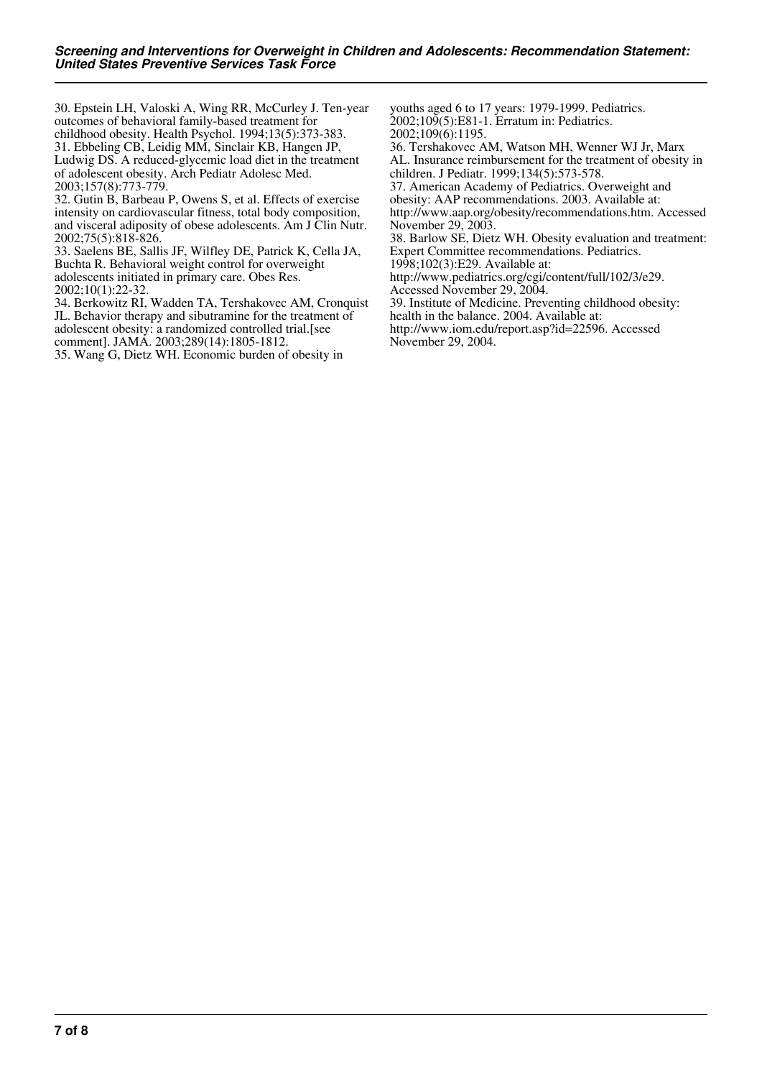30. Epstein LH, Valoski A, Wing RR, McCurley J. Ten-year outcomes of behavioral family-based treatment for childhood obesity. Health Psychol. 1994;13(5):373-383. 31. Ebbeling CB, Leidig MM, Sinclair KB, Hangen JP, Ludwig DS. A reduced-glycemic load diet in the treatment of adolescent obesity. Arch Pediatr Adolesc Med. 2003;157(8):773-779.

32. Gutin B, Barbeau P, Owens S, et al. Effects of exercise intensity on cardiovascular fitness, total body composition, and visceral adiposity of obese adolescents. Am J Clin Nutr. 2002;75(5):818-826.

33. Saelens BE, Sallis JF, Wilfley DE, Patrick K, Cella JA, Buchta R. Behavioral weight control for overweight adolescents initiated in primary care. Obes Res. 2002;10(1):22-32.

34. Berkowitz RI, Wadden TA, Tershakovec AM, Cronquist JL. Behavior therapy and sibutramine for the treatment of adolescent obesity: a randomized controlled trial.[see comment]. JAMA. 2003;289(14):1805-1812.

35. Wang G, Dietz WH. Economic burden of obesity in

youths aged 6 to 17 years: 1979-1999. Pediatrics. 2002;109(5):E81-1. Erratum in: Pediatrics. 2002;109(6):1195.

36. Tershakovec AM, Watson MH, Wenner WJ Jr, Marx AL. Insurance reimbursement for the treatment of obesity in children. J Pediatr. 1999;134(5):573-578.

37. American Academy of Pediatrics. Overweight and obesity: AAP recommendations. 2003. Available at: http://www.aap.org/obesity/recommendations.htm. Accessed November 29, 2003.

38. Barlow SE, Dietz WH. Obesity evaluation and treatment: Expert Committee recommendations. Pediatrics.

1998;102(3):E29. Available at:

http://www.pediatrics.org/cgi/content/full/102/3/e29. Accessed November 29, 2004.

39. Institute of Medicine. Preventing childhood obesity: health in the balance. 2004. Available at:

http://www.iom.edu/report.asp?id=22596. Accessed November 29, 2004.